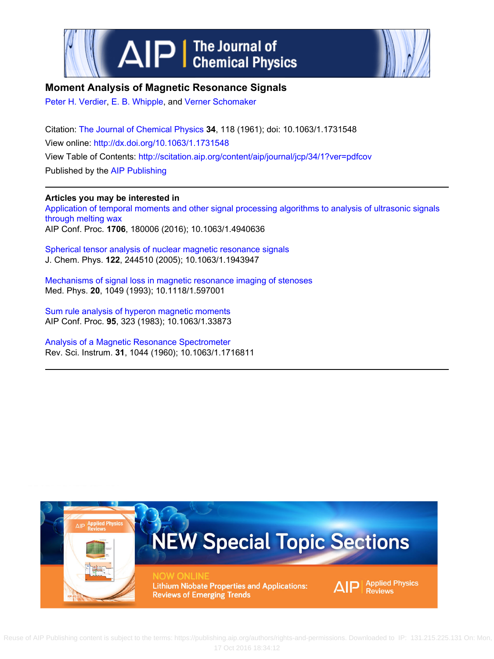



## **Moment Analysis of Magnetic Resonance Signals**

[Peter H. Verdier](http://scitation.aip.org/search?value1=Peter+H.+Verdier&option1=author), [E. B. Whipple](http://scitation.aip.org/search?value1=E.+B.+Whipple&option1=author), and [Verner Schomaker](http://scitation.aip.org/search?value1=Verner+Schomaker&option1=author)

Citation: [The Journal of Chemical Physics](http://scitation.aip.org/content/aip/journal/jcp?ver=pdfcov) **34**, 118 (1961); doi: 10.1063/1.1731548 View online:<http://dx.doi.org/10.1063/1.1731548> View Table of Contents: <http://scitation.aip.org/content/aip/journal/jcp/34/1?ver=pdfcov> Published by the [AIP Publishing](http://scitation.aip.org/content/aip?ver=pdfcov)

## **Articles you may be interested in**

[Application of temporal moments and other signal processing algorithms to analysis of ultrasonic signals](http://scitation.aip.org/content/aip/proceeding/aipcp/10.1063/1.4940636?ver=pdfcov) [through melting wax](http://scitation.aip.org/content/aip/proceeding/aipcp/10.1063/1.4940636?ver=pdfcov) AIP Conf. Proc. **1706**, 180006 (2016); 10.1063/1.4940636

[Spherical tensor analysis of nuclear magnetic resonance signals](http://scitation.aip.org/content/aip/journal/jcp/122/24/10.1063/1.1943947?ver=pdfcov) J. Chem. Phys. **122**, 244510 (2005); 10.1063/1.1943947

[Mechanisms of signal loss in magnetic resonance imaging of stenoses](http://scitation.aip.org/content/aapm/journal/medphys/20/4/10.1118/1.597001?ver=pdfcov) Med. Phys. **20**, 1049 (1993); 10.1118/1.597001

[Sum rule analysis of hyperon magnetic moments](http://scitation.aip.org/content/aip/proceeding/aipcp/10.1063/1.33873?ver=pdfcov) AIP Conf. Proc. **95**, 323 (1983); 10.1063/1.33873

[Analysis of a Magnetic Resonance Spectrometer](http://scitation.aip.org/content/aip/journal/rsi/31/10/10.1063/1.1716811?ver=pdfcov) Rev. Sci. Instrum. **31**, 1044 (1960); 10.1063/1.1716811



Reuse [of AIP Publishing content is subject to the terms: https://publishing.aip.org/authors/rights-and-permissions. Downloaded to IP: 131.215.225.](http://oasc12039.247realmedia.com/RealMedia/ads/click_lx.ads/www.aip.org/pt/adcenter/pdfcover_test/L-37/1624400372/x01/AIP-PT/JCP_ArticleDL_091416/APR_1640x440BannerAd11-15.jpg/434f71374e315a556e61414141774c75?x)131 On: Mon, 17 Oct 2016 18:34:12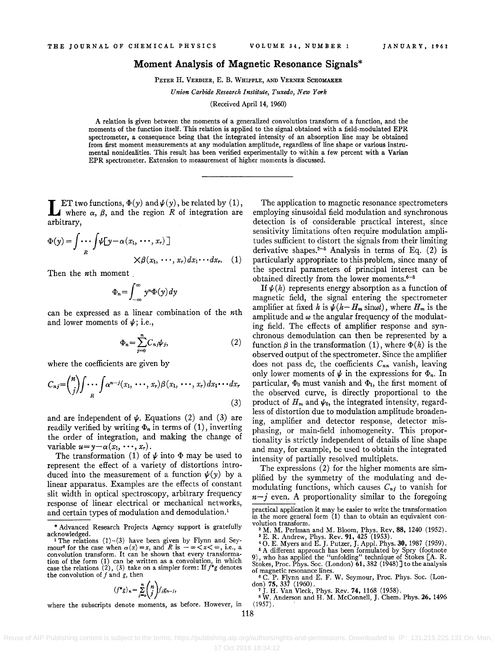## **Moment Analysis of Magnetic Resonance Signals\***

PETER H. VERDIER, E. B. WHIPPLE, AND VERNER SCHOMAKER

*Union Carbide Research Institute, Tuxedo, New York* 

(Received April 14, 1960)

A relation is given between the moments of a generalized convolution transform of a function, and the moments of the function itself. This relation is applied to the signal obtained with a field-modulated EPR spectrometer, a consequence being that the integrated intensity of an absorption line may be obtained from first moment measurements at any modulation amplitude, regardless of line shape or various instrumental nonidealities. This result has been verified experimentally to within a few percent with a Varian EPR spectrometer. Extension to measurement of higher moments is discussed.

**LET** two functions,  $\Phi(y)$  and  $\psi(y)$ , be related by (1), where  $\alpha$ ,  $\beta$ , and the region *R* of integration are arbitrary,

$$
\Phi(y) = \int \cdots \int \psi[y - \alpha(x_1, \cdots, x_r)]
$$
  
 
$$
\times \beta(x_1, \cdots, x_r) dx_1 \cdots dx_r.
$$
 (1)

Then the *nth* moment

$$
\Phi_n = \int_{-\infty}^{\infty} y^n \Phi(y) \, dy
$$

can be expressed as a linear combination of the *nth*  and lower moments of  $\psi$ ; i.e.,

$$
\Phi_n = \sum_{j=0}^n C_{n,j} \psi_j,\tag{2}
$$

where the coefficients are given by

$$
C_{nj} = {n \choose j} \int \cdots \int \alpha^{n-j} (x_1, \cdots, x_r) \beta(x_1, \cdots, x_r) dx_1 \cdots dx_r
$$
\n(3)

and are independent of  $\psi$ . Equations (2) and (3) are readily verified by writing  $\Phi_n$  in terms of (1), inverting the order of integration, and making the change of variable  $u=y-\alpha(x_1, \dots, x_r)$ .

The transformation (1) of  $\psi$  into  $\Phi$  may be used to represent the effect of a variety of distortions introduced into the measurement of a function  $\psi(y)$  by a linear apparatus. Examples are the effects of constant slit width in optical spectroscopy, arbitrary frequency response of linear electrical or mechanical networks, and certain types of modulation and demodulation.<sup>1</sup>

$$
(f^*g)_n = \sum_{j=0}^n \binom{n}{j} f_j g_{n-j},
$$

where the subscripts denote moments, as before. However, in

The application to magnetic resonance spectrometers employing sinusoidal field modulation and synchronou& detection is of considerable practical interest, since sensitivity limitations often require modulation amplitudes sufficient to distort the signals from their limiting derivative shapes.<sup>2-5</sup> Analysis in terms of Eq.  $(2)$  is particularly appropriate to this problem, since many of the spectral parameters of principal interest can be obtained directly from the lower moments. $6-8$ 

If  $\psi(h)$  represents energy absorption as a function of magnetic field, the signal entering the spectrometer amplifier at fixed h is  $\psi(h - H_m \sin \omega t)$ , where  $H_m$  is the amplitude and  $\omega$  the angular frequency of the modulating field. The effects of amplifier response and synchronous demodulation can then be represented by a function  $\beta$  in the transformation (1), where  $\Phi(h)$  is the observed output of the spectrometer. Since the amplifier does not pass dc, the coefficients C*nn* vanish, leaving only lower moments of  $\psi$  in the expressions for  $\Phi_n$ . In particular,  $\Phi_0$  must vanish and  $\Phi_1$ , the first moment of the observed curve, is directly proportional to the product of  $H_m$  and  $\psi_0$ , the integrated intensity, regardless of distortion due to modulation amplitude broadening, amplifier and detector response, detector misphasing, or main-field inhomogeneity. This proportionality is strictly independent of details of line shape and may, for example, be used to obtain the integrated intensity of partially resolved multiplets.

The expressions (2) for the higher moments are simplified by the symmetry of the modulating and demodulating functions, which causes  $C_{nj}$  to vanish for  $n-j$  even. A proportionality similar to the foregoing

of magnetic resonance lines.<br>
<sup>6</sup> C. P. Flynn and E. F. W. Seymour, Proc. Phys. Soc. (Lon-<br>
don) 75, 337 (1960).

don) 75, 337 (1960).<br>
<sup>7</sup> J. H. Van Vleck, Phys. Rev. 74, 1168 (1958).<br>
<sup>8</sup> W. Anderson and H. M. McConnell, J. Chem. Phys. **26**, 1496<br>
(1957).

<sup>\*</sup> Advanced Research Projects Agency support is gratefully

<sup>&</sup>lt;sup>1</sup> The relations (1)-(3) have been given by Flynn and Sey-mour<sup>6</sup> for the case when  $\alpha(x) = x$ , and *R* is  $-\infty < x < \infty$ , i.e., a convolution transform. It can be shown that every transformation of the form (1) can be written as a convolution, in which case the relations (2), (3) take on a simpler form: If  $f^*g$  denotes the convolution of  $f$  and  $g$ , then

practical application it may be easier to write the transformation

in the more general form (1) than to obtain an equivalent convolution transform.<br>
<sup>2</sup> M. M. Perlman and M. Bloom, Phys. Rev. **88**, 1240 (1952).<br>
<sup>3</sup> E. R. Andrew, Phys. Rev. **91**, 425 (1953).<br>
<sup>4</sup> O. E. Myers and E. J. Pu